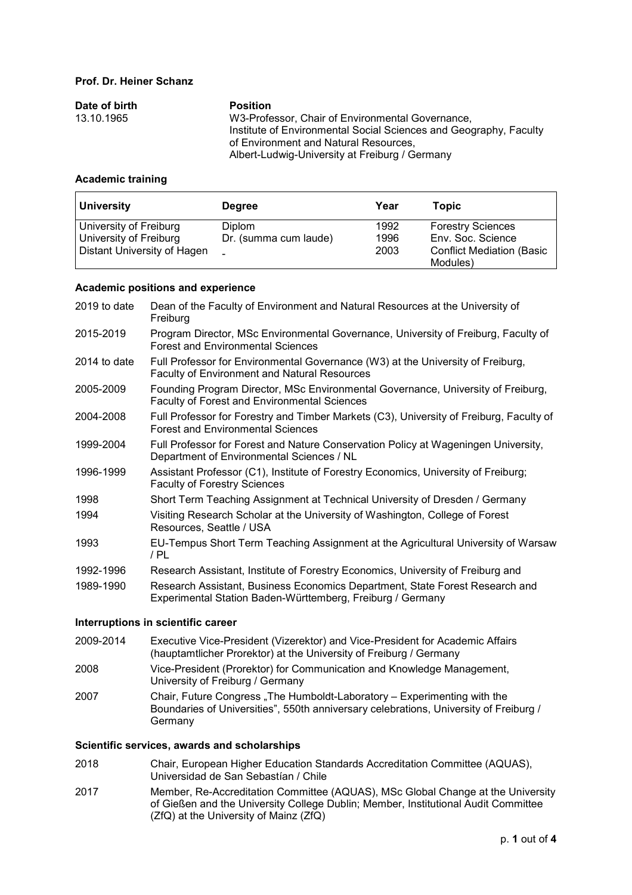#### **Prof. Dr. Heiner Schanz**

| Date of birth | <b>Position</b>                                                   |
|---------------|-------------------------------------------------------------------|
| 13.10.1965    | W3-Professor, Chair of Environmental Governance.                  |
|               | Institute of Environmental Social Sciences and Geography, Faculty |
|               | of Environment and Natural Resources.                             |
|               | Albert-Ludwig-University at Freiburg / Germany                    |

### **Academic training**

| <b>University</b>                                | <b>Degree</b>                          | Year         | <b>Topic</b>                                  |
|--------------------------------------------------|----------------------------------------|--------------|-----------------------------------------------|
| University of Freiburg<br>University of Freiburg | <b>Diplom</b><br>Dr. (summa cum laude) | 1992<br>1996 | <b>Forestry Sciences</b><br>Env. Soc. Science |
| Distant University of Hagen                      |                                        | 2003         | <b>Conflict Mediation (Basic</b><br>Modules)  |

### **Academic positions and experience**

| 2019 to date | Dean of the Faculty of Environment and Natural Resources at the University of<br>Freiburg                                                  |
|--------------|--------------------------------------------------------------------------------------------------------------------------------------------|
| 2015-2019    | Program Director, MSc Environmental Governance, University of Freiburg, Faculty of<br><b>Forest and Environmental Sciences</b>             |
| 2014 to date | Full Professor for Environmental Governance (W3) at the University of Freiburg,<br><b>Faculty of Environment and Natural Resources</b>     |
| 2005-2009    | Founding Program Director, MSc Environmental Governance, University of Freiburg,<br><b>Faculty of Forest and Environmental Sciences</b>    |
| 2004-2008    | Full Professor for Forestry and Timber Markets (C3), University of Freiburg, Faculty of<br><b>Forest and Environmental Sciences</b>        |
| 1999-2004    | Full Professor for Forest and Nature Conservation Policy at Wageningen University,<br>Department of Environmental Sciences / NL            |
| 1996-1999    | Assistant Professor (C1), Institute of Forestry Economics, University of Freiburg;<br><b>Faculty of Forestry Sciences</b>                  |
| 1998         | Short Term Teaching Assignment at Technical University of Dresden / Germany                                                                |
| 1994         | Visiting Research Scholar at the University of Washington, College of Forest<br>Resources, Seattle / USA                                   |
| 1993         | EU-Tempus Short Term Teaching Assignment at the Agricultural University of Warsaw<br>/ PL                                                  |
| 1992-1996    | Research Assistant, Institute of Forestry Economics, University of Freiburg and                                                            |
| 1989-1990    | Research Assistant, Business Economics Department, State Forest Research and<br>Experimental Station Baden-Württemberg, Freiburg / Germany |
|              | Interruptions in scientific career                                                                                                         |
| 2009-2014    | Executive Vice-President (Vizerektor) and Vice-President for Academic Affairs                                                              |

### 2009-2014 Executive Vice-President (Vizerektor) and Vice-President for Academic Affairs (hauptamtlicher Prorektor) at the University of Freiburg / Germany

- 2008 Vice-President (Prorektor) for Communication and Knowledge Management, University of Freiburg / Germany
- 2007 Chair, Future Congress "The Humboldt-Laboratory Experimenting with the Boundaries of Universities", 550th anniversary celebrations, University of Freiburg / **Germany**

#### **Scientific services, awards and scholarships**

- 2018 Chair, European Higher Education Standards Accreditation Committee (AQUAS), Universidad de San Sebastían / Chile
- 2017 Member, Re-Accreditation Committee (AQUAS), MSc Global Change at the University of Gießen and the University College Dublin; Member, Institutional Audit Committee (ZfQ) at the University of Mainz (ZfQ)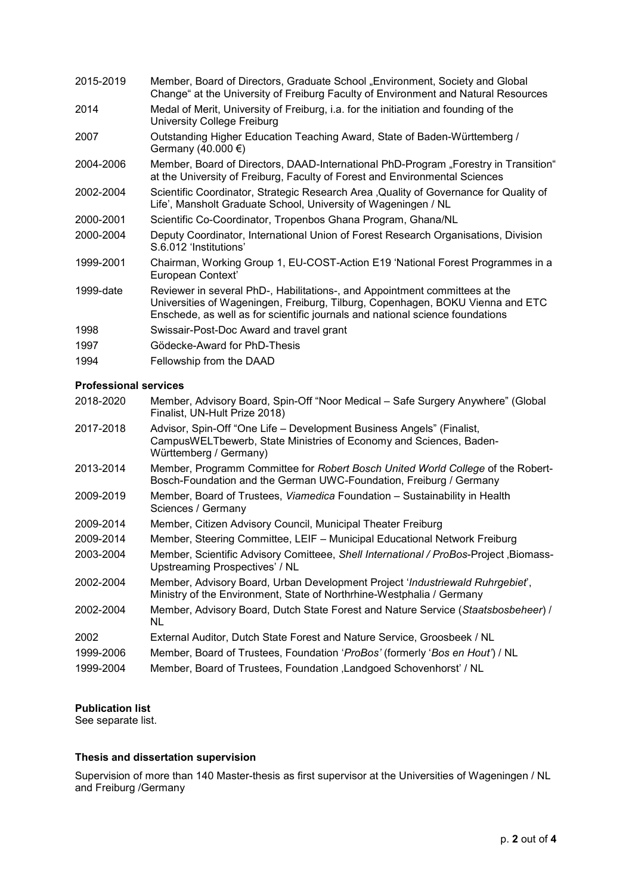| 2015-2019 | Member, Board of Directors, Graduate School "Environment, Society and Global<br>Change" at the University of Freiburg Faculty of Environment and Natural Resources                                                                             |
|-----------|------------------------------------------------------------------------------------------------------------------------------------------------------------------------------------------------------------------------------------------------|
| 2014      | Medal of Merit, University of Freiburg, i.a. for the initiation and founding of the<br>University College Freiburg                                                                                                                             |
| 2007      | Outstanding Higher Education Teaching Award, State of Baden-Württemberg /<br>Germany (40.000 €)                                                                                                                                                |
| 2004-2006 | Member, Board of Directors, DAAD-International PhD-Program "Forestry in Transition"<br>at the University of Freiburg, Faculty of Forest and Environmental Sciences                                                                             |
| 2002-2004 | Scientific Coordinator, Strategic Research Area , Quality of Governance for Quality of<br>Life', Mansholt Graduate School, University of Wageningen / NL                                                                                       |
| 2000-2001 | Scientific Co-Coordinator, Tropenbos Ghana Program, Ghana/NL                                                                                                                                                                                   |
| 2000-2004 | Deputy Coordinator, International Union of Forest Research Organisations, Division<br>S.6.012 'Institutions'                                                                                                                                   |
| 1999-2001 | Chairman, Working Group 1, EU-COST-Action E19 'National Forest Programmes in a<br>European Context'                                                                                                                                            |
| 1999-date | Reviewer in several PhD-, Habilitations-, and Appointment committees at the<br>Universities of Wageningen, Freiburg, Tilburg, Copenhagen, BOKU Vienna and ETC<br>Enschede, as well as for scientific journals and national science foundations |
| 1998      | Swissair-Post-Doc Award and travel grant                                                                                                                                                                                                       |
| 1997      | Gödecke-Award for PhD-Thesis                                                                                                                                                                                                                   |
| 1994      | Fellowship from the DAAD                                                                                                                                                                                                                       |

### **Professional services**

| 2018-2020 | Member, Advisory Board, Spin-Off "Noor Medical – Safe Surgery Anywhere" (Global<br>Finalist, UN-Hult Prize 2018)                                                      |
|-----------|-----------------------------------------------------------------------------------------------------------------------------------------------------------------------|
| 2017-2018 | Advisor, Spin-Off "One Life - Development Business Angels" (Finalist,<br>CampusWELTbewerb, State Ministries of Economy and Sciences, Baden-<br>Württemberg / Germany) |
| 2013-2014 | Member, Programm Committee for Robert Bosch United World College of the Robert-<br>Bosch-Foundation and the German UWC-Foundation, Freiburg / Germany                 |
| 2009-2019 | Member, Board of Trustees, Viamedica Foundation – Sustainability in Health<br>Sciences / Germany                                                                      |
| 2009-2014 | Member, Citizen Advisory Council, Municipal Theater Freiburg                                                                                                          |
| 2009-2014 | Member, Steering Committee, LEIF - Municipal Educational Network Freiburg                                                                                             |
| 2003-2004 | Member, Scientific Advisory Comitteee, Shell International / ProBos-Project, Biomass-<br>Upstreaming Prospectives' / NL                                               |
| 2002-2004 | Member, Advisory Board, Urban Development Project 'Industriewald Ruhrgebiet',<br>Ministry of the Environment, State of Northrhine-Westphalia / Germany                |
| 2002-2004 | Member, Advisory Board, Dutch State Forest and Nature Service (Staatsbosbeheer) /<br>NL.                                                                              |
| 2002      | External Auditor, Dutch State Forest and Nature Service, Groosbeek / NL                                                                                               |
| 1999-2006 | Member, Board of Trustees, Foundation 'ProBos' (formerly 'Bos en Hout') / NL                                                                                          |
| 1999-2004 | Member, Board of Trustees, Foundation , Landgoed Schovenhorst' / NL                                                                                                   |
|           |                                                                                                                                                                       |

### **Publication list**

See separate list.

### **Thesis and dissertation supervision**

Supervision of more than 140 Master-thesis as first supervisor at the Universities of Wageningen / NL and Freiburg /Germany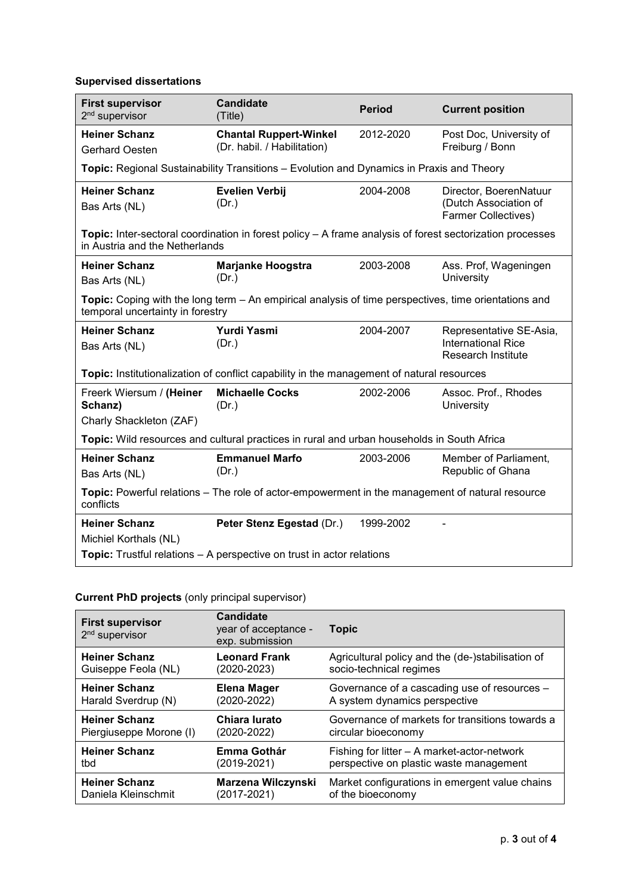# **Supervised dissertations**

| <b>First supervisor</b><br>2 <sup>nd</sup> supervisor                                                                                      | <b>Candidate</b><br>(Title)                                                                               | <b>Period</b> | <b>Current position</b>                                                           |
|--------------------------------------------------------------------------------------------------------------------------------------------|-----------------------------------------------------------------------------------------------------------|---------------|-----------------------------------------------------------------------------------|
| <b>Heiner Schanz</b><br><b>Gerhard Oesten</b>                                                                                              | <b>Chantal Ruppert-Winkel</b><br>(Dr. habil. / Habilitation)                                              | 2012-2020     | Post Doc, University of<br>Freiburg / Bonn                                        |
|                                                                                                                                            | Topic: Regional Sustainability Transitions - Evolution and Dynamics in Praxis and Theory                  |               |                                                                                   |
| <b>Heiner Schanz</b><br>Bas Arts (NL)                                                                                                      | <b>Evelien Verbij</b><br>(Dr.)                                                                            | 2004-2008     | Director, BoerenNatuur<br>(Dutch Association of<br><b>Farmer Collectives)</b>     |
| Topic: Inter-sectoral coordination in forest policy - A frame analysis of forest sectorization processes<br>in Austria and the Netherlands |                                                                                                           |               |                                                                                   |
| <b>Heiner Schanz</b><br>Bas Arts (NL)                                                                                                      | <b>Marjanke Hoogstra</b><br>(Dr.)                                                                         | 2003-2008     | Ass. Prof, Wageningen<br>University                                               |
| temporal uncertainty in forestry                                                                                                           | Topic: Coping with the long term - An empirical analysis of time perspectives, time orientations and      |               |                                                                                   |
| <b>Heiner Schanz</b><br>Bas Arts (NL)                                                                                                      | <b>Yurdi Yasmi</b><br>(Dr.)                                                                               | 2004-2007     | Representative SE-Asia,<br><b>International Rice</b><br><b>Research Institute</b> |
|                                                                                                                                            | Topic: Institutionalization of conflict capability in the management of natural resources                 |               |                                                                                   |
| Freerk Wiersum / (Heiner<br>Schanz)<br>Charly Shackleton (ZAF)                                                                             | <b>Michaelle Cocks</b><br>(Dr.)                                                                           | 2002-2006     | Assoc. Prof., Rhodes<br>University                                                |
| Topic: Wild resources and cultural practices in rural and urban households in South Africa                                                 |                                                                                                           |               |                                                                                   |
| <b>Heiner Schanz</b><br>Bas Arts (NL)                                                                                                      | <b>Emmanuel Marfo</b><br>(Dr.)                                                                            | 2003-2006     | Member of Parliament,<br>Republic of Ghana                                        |
| Topic: Powerful relations - The role of actor-empowerment in the management of natural resource<br>conflicts                               |                                                                                                           |               |                                                                                   |
| <b>Heiner Schanz</b><br>Michiel Korthals (NL)                                                                                              | Peter Stenz Egestad (Dr.)<br><b>Topic:</b> Trustful relations – A perspective on trust in actor relations | 1999-2002     |                                                                                   |

# **Current PhD projects** (only principal supervisor)

| <b>First supervisor</b><br>2 <sup>nd</sup> supervisor | <b>Candidate</b><br>year of acceptance -<br>exp. submission | <b>Topic</b>                                      |
|-------------------------------------------------------|-------------------------------------------------------------|---------------------------------------------------|
| <b>Heiner Schanz</b>                                  | <b>Leonard Frank</b>                                        | Agricultural policy and the (de-)stabilisation of |
| Guiseppe Feola (NL)                                   | (2020-2023)                                                 | socio-technical regimes                           |
| <b>Heiner Schanz</b>                                  | Elena Mager                                                 | Governance of a cascading use of resources -      |
| Harald Sverdrup (N)                                   | (2020-2022)                                                 | A system dynamics perspective                     |
| <b>Heiner Schanz</b>                                  | Chiara Iurato                                               | Governance of markets for transitions towards a   |
| Piergiuseppe Morone (I)                               | $(2020 - 2022)$                                             | circular bioeconomy                               |
| <b>Heiner Schanz</b>                                  | Emma Gothár                                                 | Fishing for litter - A market-actor-network       |
| tbd                                                   | (2019-2021)                                                 | perspective on plastic waste management           |
| <b>Heiner Schanz</b>                                  | <b>Marzena Wilczynski</b>                                   | Market configurations in emergent value chains    |
| Daniela Kleinschmit                                   | (2017-2021)                                                 | of the bioeconomy                                 |